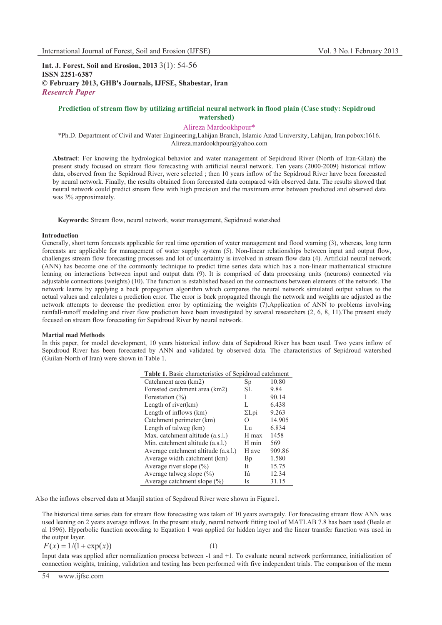**Int. J. Forest, Soil and Erosion, 2013** 3(1): 54-56 **ISSN 2251-6387 © February 2013, GHB's Journals, IJFSE, Shabestar, Iran** *Research Paper*

# **Prediction of stream flow by utilizing artificial neural network in flood plain (Case study: Sepidroud watershed)**

Alireza Mardookhpour\*

\*Ph.D. Department of Civil and Water Engineering,Lahijan Branch, Islamic Azad University, Lahijan, Iran.pobox:1616. Alireza.mardookhpour@yahoo.com

**Abstract**: For knowing the hydrological behavior and water management of Sepidroud River (North of Iran-Gilan) the present study focused on stream flow forecasting with artificial neural network. Ten years (2000-2009) historical inflow data, observed from the Sepidroud River, were selected ; then 10 years inflow of the Sepidroud River have been forecasted by neural network. Finally, the results obtained from forecasted data compared with observed data. The results showed that neural network could predict stream flow with high precision and the maximum error between predicted and observed data was 3% approximately.

**Keywords:** Stream flow, neural network, water management, Sepidroud watershed

### **Introduction**

Generally, short term forecasts applicable for real time operation of water management and flood warning (3), whereas, long term forecasts are applicable for management of water supply system (5). Non-linear relationships between input and output flow, challenges stream flow forecasting processes and lot of uncertainty is involved in stream flow data (4). Artificial neural network (ANN) has become one of the commonly technique to predict time series data which has a non-linear mathematical structure leaning on interactions between input and output data (9). It is comprised of data processing units (neurons) connected via adjustable connections (weights) (10). The function is established based on the connections between elements of the network. The network learns by applying a back propagation algorithm which compares the neural network simulated output values to the actual values and calculates a prediction error. The error is back propagated through the network and weights are adjusted as the network attempts to decrease the prediction error by optimizing the weights (7).Application of ANN to problems involving rainfall-runoff modeling and river flow prediction have been investigated by several researchers (2, 6, 8, 11).The present study focused on stream flow forecasting for Sepidroud River by neural network.

#### **Martial mad Methods**

In this paper, for model development, 10 years historical inflow data of Sepidroud River has been used. Two years inflow of Sepidroud River has been forecasted by ANN and validated by observed data. The characteristics of Sepidroud watershed (Guilan-North of Iran) were shown in Table 1.

| <b>Table 1.</b> Basic characteristics of Sepidroud catchment |                                   |        |  |
|--------------------------------------------------------------|-----------------------------------|--------|--|
| Catchment area (km2)                                         | Sp                                | 10.80  |  |
| Forested catchment area (km2)                                | SL.                               | 9.84   |  |
| Forestation $(\% )$                                          |                                   | 90.14  |  |
| Length of river $(km)$                                       | L                                 | 6.438  |  |
| Length of inflows (km)                                       | $\Sigma$ Lpi                      | 9.263  |  |
| Catchment perimeter (km)                                     | $\scriptstyle\rm\scriptstyle{()}$ | 14.905 |  |
| Length of talweg (km)                                        | Lu                                | 6.834  |  |
| Max. catchment altitude (a.s.l.)                             | H max                             | 1458   |  |
| Min. catchment altitude (a.s.l.)                             | H min                             | 569    |  |
| Average catchment altitude (a.s.l.)                          | H ave                             | 909.86 |  |
| Average width catchment (km)                                 | Bp                                | 1.580  |  |
| Average river slope $(\% )$                                  | It                                | 15.75  |  |
| Average talweg slope $(\% )$                                 | Iú                                | 12.34  |  |
| Average catchment slope $(\%)$                               | Is                                | 31.15  |  |

Also the inflows observed data at Manjil station of Sepdroud River were shown in Figure1.

The historical time series data for stream flow forecasting was taken of 10 years averagely. For forecasting stream flow ANN was used leaning on 2 years average inflows. In the present study, neural network fitting tool of MATLAB 7.8 has been used (Beale et al 1996). Hyperbolic function according to Equation 1 was applied for hidden layer and the linear transfer function was used in the output layer.

$$
F(x) = 1/(1 + \exp(x))
$$
 (1)

Input data was applied after normalization process between -1 and +1. To evaluate neural network performance, initialization of connection weights, training, validation and testing has been performed with five independent trials. The comparison of the mean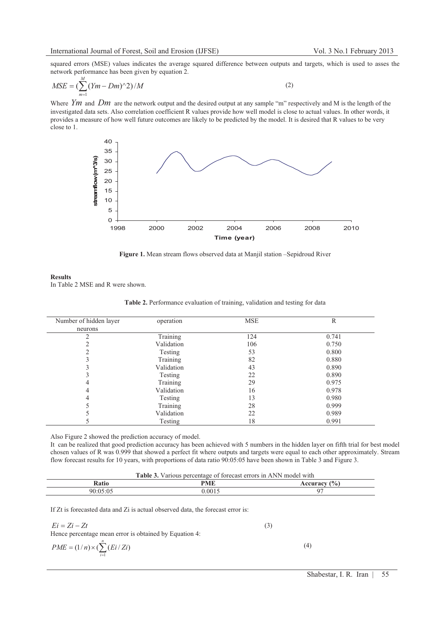squared errors (MSE) values indicates the average squared difference between outputs and targets, which is used to asses the network performance has been given by equation 2. *M*

$$
MSE = \left(\sum_{m=1}^{M} (Ym - Dm)^{\wedge} 2\right) / M \tag{2}
$$

Where *Ym* and *Dm* are the network output and the desired output at any sample "m" respectively and M is the length of the investigated data sets. Also correlation coefficient R values provide how well model is close to actual values. In other words, it provides a measure of how well future outcomes are likely to be predicted by the model. It is desired that R values to be very close to 1.



**Figure 1.** Mean stream flows observed data at Manjil station –Sepidroud River

### **Results**

In Table 2 MSE and R were shown.

| Number of hidden layer | operation  | <b>MSE</b> | R     |
|------------------------|------------|------------|-------|
| neurons                |            |            |       |
| ↑                      | Training   | 124        | 0.741 |
| ↑                      | Validation | 106        | 0.750 |
| ↑                      | Testing    | 53         | 0.800 |
|                        | Training   | 82         | 0.880 |
|                        | Validation | 43         | 0.890 |
|                        | Testing    | 22         | 0.890 |
| 4                      | Training   | 29         | 0.975 |
| 4                      | Validation | 16         | 0.978 |
| 4                      | Testing    | 13         | 0.980 |
|                        | Training   | 28         | 0.999 |
|                        | Validation | 22         | 0.989 |
|                        | Testing    | 18         | 0.991 |

| Table 2. Performance evaluation of training, validation and testing for data |  |  |  |
|------------------------------------------------------------------------------|--|--|--|
|                                                                              |  |  |  |

Also Figure 2 showed the prediction accuracy of model.

It can be realized that good prediction accuracy has been achieved with 5 numbers in the hidden layer on fifth trial for best model chosen values of R was 0.999 that showed a perfect fit where outputs and targets were equal to each other approximately. Stream flow forecast results for 10 years, with proportions of data ratio 90:05:05 have been shown in Table 3 and Figure 3.

| <b>Table 3.</b> Various percentage of forecast errors in ANN model with |  |
|-------------------------------------------------------------------------|--|
|-------------------------------------------------------------------------|--|

| -<br>87 A | DME<br>. | $^{\prime}$ 0/ $_{\circ}$<br>$-$ |
|-----------|----------|----------------------------------|
|           | $\Omega$ | ◝                                |

If Zt is forecasted data and Zi is actual observed data, the forecast error is:

| $Ei = Zi - Zt$                                         | (3) |     |
|--------------------------------------------------------|-----|-----|
| Hence percentage mean error is obtained by Equation 4: |     |     |
| $PME = (1/n) \times (\sum (Ei/Zi))$<br>$i=1$           |     | (4) |